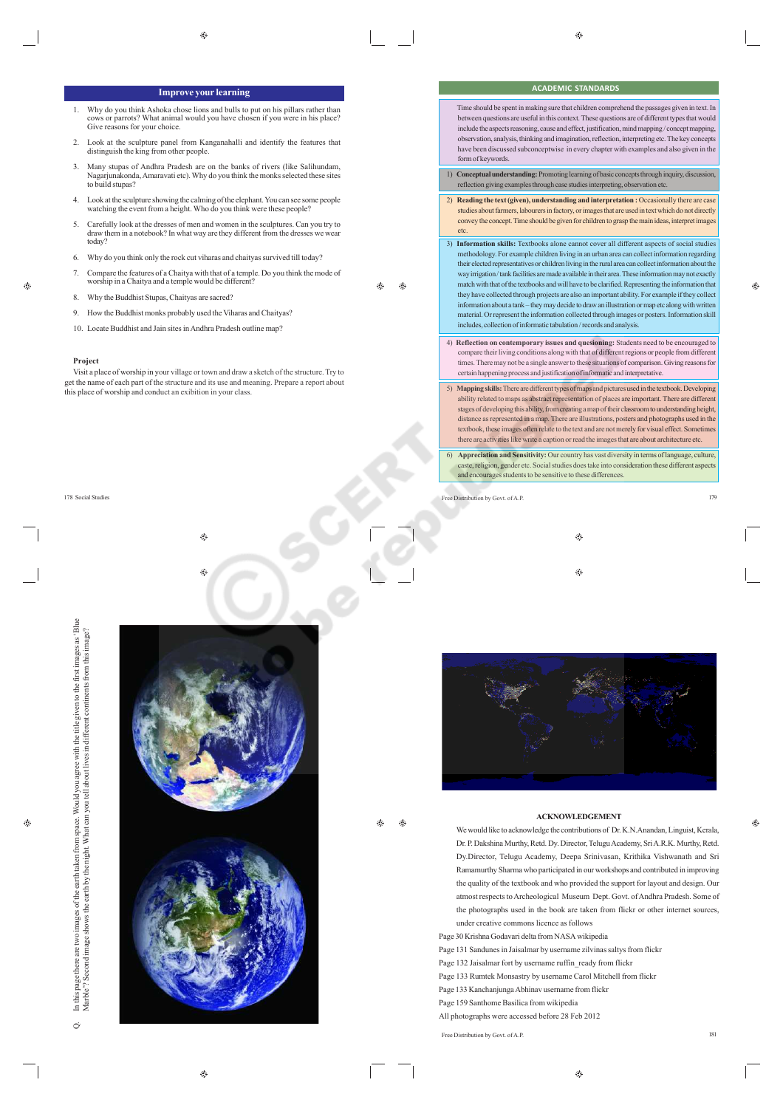**ACADEMIC STANDARDS** Time should be spent in making sure that children comprehend the passages given in text. In

 $\hat{\mathbf{e}}$ 

## **Improve your learning**

- 1. Why do you think Ashoka chose lions and bulls to put on his pillars rather than cows or parrots? What animal would you have chosen if you were in his place? Give reasons for your choice.
- 2. Look at the sculpture panel from Kanganahalli and identify the features that distinguish the king from other people.
- 3. Many stupas of Andhra Pradesh are on the banks of rivers (like Salihundam, unakonda, Amaravati etc). Why do you think the monks selected these sites Nagarjunakond<br>to build stupas?
- 4. Look at the sculpture showing the calming of the elephant. You can see some people watching the event from a height. Who do you think were these people?
- 5. Carefully look at the dresses of men and women in the sculptures. Can you try to draw them in a notebook? In what way are they different from the dresses we wear today?
- 6. Why do you think only the rock cut viharas and chaityas survived till today?
- 7. Compare the features of a Chaitya with that of a temple. Do you think the mode of worship in a Chaitya and a temple would be different?

8. Why the Buddhist Stupas, Chaityas are sacred?

9. How the Buddhist monks probably used the Viharas and Chaityas?

10. Locate Buddhist and Jain sites in Andhra Pradesh outline map?

## **Project**

Visit a place of worship in your village or town and draw a sketch of the structure. Try to get the name of each part of the structure and its use and meaning. Prepare a report about this place of worship and conduct an exibition in your class.

⊕



|    | between questions are useful in this context. These questions are of different types that would<br>include the aspects reasoning, cause and effect, justification, mind mapping/concept mapping.<br>observation, analysis, thinking and imagination, reflection, interpreting etc. The key concepts<br>have been discussed subconceptwise in every chapter with examples and also given in the<br>form of keywords.                                                                                                                                                                                                                                                                                                                                                                                                                                                                              |
|----|--------------------------------------------------------------------------------------------------------------------------------------------------------------------------------------------------------------------------------------------------------------------------------------------------------------------------------------------------------------------------------------------------------------------------------------------------------------------------------------------------------------------------------------------------------------------------------------------------------------------------------------------------------------------------------------------------------------------------------------------------------------------------------------------------------------------------------------------------------------------------------------------------|
|    | 1) Conceptual understanding: Promoting learning of basic concepts through inquiry, discussion,<br>reflection giving examples through case studies interpreting, observation etc.                                                                                                                                                                                                                                                                                                                                                                                                                                                                                                                                                                                                                                                                                                                 |
| 2) | Reading the text (given), understanding and interpretation : Occasionally there are case<br>studies about farmers, labourers in factory, or images that are used in text which do not directly<br>convey the concept. Time should be given for children to grasp the main ideas, interpret images<br>etc.                                                                                                                                                                                                                                                                                                                                                                                                                                                                                                                                                                                        |
|    | 3) Information skills: Textbooks alone cannot cover all different aspects of social studies<br>methodology. For example children living in an urban area can collect information regarding<br>their elected representatives or children living in the rural area can collect information about the<br>way irrigation / tank facilities are made available in their area. These information may not exactly<br>match with that of the textbooks and will have to be clarified. Representing the information that<br>they have collected through projects are also an important ability. For example if they collect<br>information about a tank - they may decide to draw an illustration or map etc along with written<br>material. Or represent the information collected through images or posters. Information skill<br>includes, collection of informatic tabulation / records and analysis. |
|    | 4) Reflection on contemporary issues and quesioning: Students need to be encouraged to<br>compare their living conditions along with that of different regions or people from different<br>times. There may not be a single answer to these situations of comparison. Giving reasons for<br>certain happening process and justification of informatic and interpretative.                                                                                                                                                                                                                                                                                                                                                                                                                                                                                                                        |
|    | 5) Mapping skills: There are different types of maps and pictures used in the textbook. Developing<br>ability related to maps as abstract representation of places are important. There are different<br>stages of developing this ability, from creating a map of their classroom to understanding height,<br>distances are accompanied in a series. There was illustrations or a stage and also to acceler could in the                                                                                                                                                                                                                                                                                                                                                                                                                                                                        |

- stages of developing this ability, from creating a map of their classroom to understanding height, distance as represented in a map. There are illustrations, posters and photographs used in the textbook, these images often relate to the text and are not merely for visual effect. Some there are activities like write a caption or read the images that are about architecture etc. 6) **Appreciation and Sensitivity:** Our country has vast diversity in terms of language, culture,
- caste, religion, gender etc. Social studies does take into consideration these different aspects and encourages students to be sensitive to these differences.

178 Social Studies Free Distribution by Govt. of A.P. 179

۳ ⊕



## **ACKNOWLEDGEMENT**

We would like to acknowledge the contributions of Dr. K.N.Anandan, Linguist, Kerala, Dr. P. Dakshina Murthy, Retd. Dy. Director, Telugu Academy, Sri A.R.K. Murthy, Retd. Dy.Director, Telugu Academy, Deepa Srinivasan, Krithika Vishwanath and Sri Ramamurthy Sharma who participated in our workshops and contributed in improving the quality of the textbook and who provided the support for layout and design. Our atmost respects to Archeological Museum Dept. Govt. of Andhra Pradesh. Some of the photographs used in the book are taken from flickr or other internet sources, under creative commons licence as follows Page 30 Krishna Godavari delta from NASA wikipedia

- Page 131 Sandunes in Jaisalmar by username zilvinas saltys from flickr
- Page 132 Jaisalmar fort by username ruffin\_ready from flickr
- Page 133 Rumtek Monsastry by username Carol Mitchell from flickr
- Page 133 Kanchanjunga Abhinav username from flickr
- Page 159 Santhome Basilica from wikipedia
- All photographs were accessed before 28 Feb 2012

Free Distribution by Govt. of A.P.

Á ⊕

ക  $\bigoplus$ 

 $\oplus$ 

 $\dot{\circ}$ 

♠

Ô.

181